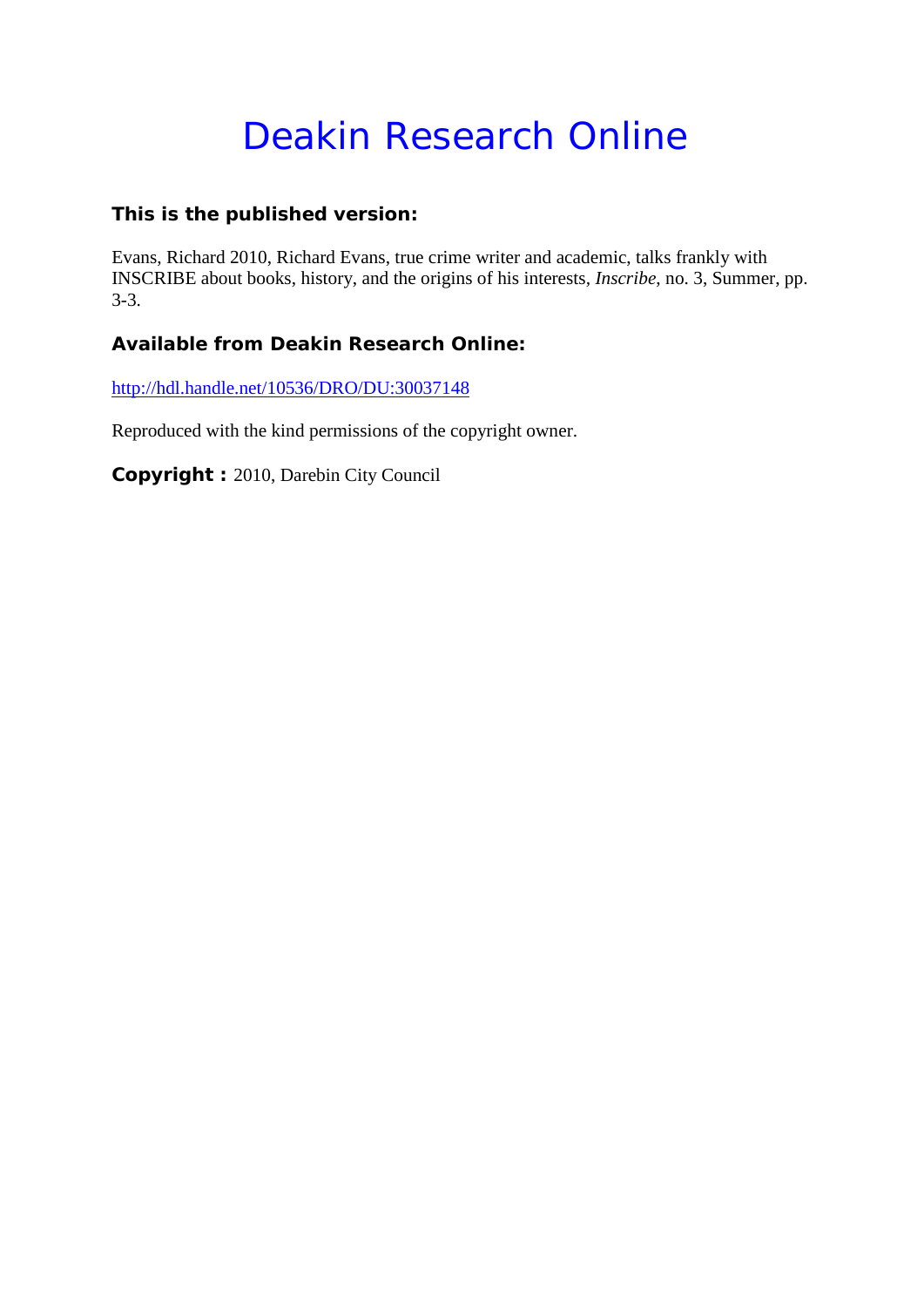# Deakin Research Online

## **This is the published version:**

Evans, Richard 2010, Richard Evans, true crime writer and academic, talks frankly with INSCRIBE about books, history, and the origins of his interests*, Inscribe*, no. 3, Summer, pp. 3-3.

# **Available from Deakin Research Online:**

<http://hdl.handle.net/10536/DRO/DU:30037148>

Reproduced with the kind permissions of the copyright owner.

**Copyright :** 2010, Darebin City Council